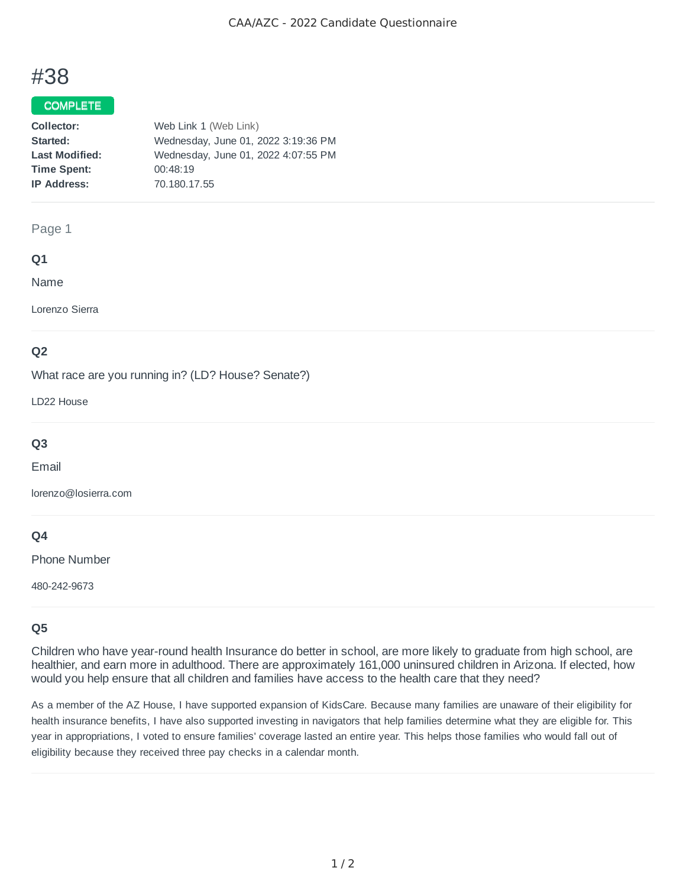# #38

# COMPLETE

| Collector:            | Web Link 1 (Web Link)               |
|-----------------------|-------------------------------------|
| Started:              | Wednesday, June 01, 2022 3:19:36 PM |
| <b>Last Modified:</b> | Wednesday, June 01, 2022 4:07:55 PM |
| <b>Time Spent:</b>    | 00:48:19                            |
| <b>IP Address:</b>    | 70.180.17.55                        |

#### Page 1

## **Q1**

Name

Lorenzo Sierra

# **Q2**

What race are you running in? (LD? House? Senate?)

LD22 House

# **Q3**

Email

lorenzo@losierra.com

# **Q4**

Phone Number

480-242-9673

# **Q5**

Children who have year-round health Insurance do better in school, are more likely to graduate from high school, are healthier, and earn more in adulthood. There are approximately 161,000 uninsured children in Arizona. If elected, how would you help ensure that all children and families have access to the health care that they need?

As a member of the AZ House, I have supported expansion of KidsCare. Because many families are unaware of their eligibility for health insurance benefits, I have also supported investing in navigators that help families determine what they are eligible for. This year in appropriations, I voted to ensure families' coverage lasted an entire year. This helps those families who would fall out of eligibility because they received three pay checks in a calendar month.